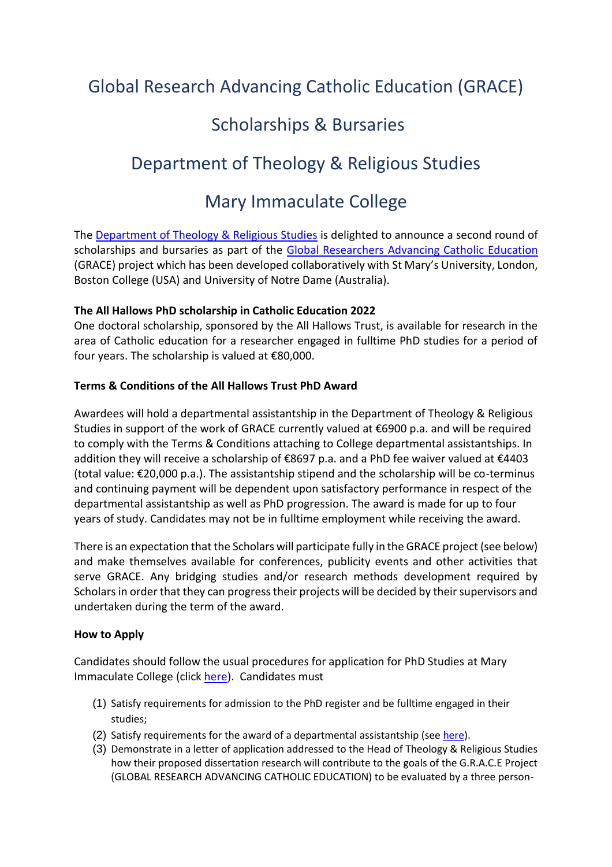# Global Research Advancing Catholic Education (GRACE)

## Scholarships & Bursaries

## Department of Theology & Religious Studies

## Mary Immaculate College

The [Department of Theology & Religious Studies](https://www.mic.ul.ie/faculty-of-arts/department/theology-religious-studies?index=0) is delighted to announce a second round of scholarships and bursaries as part of the [Global Researchers Advancing Catholic Education](https://www.mic.ul.ie/faculty-of-arts/department/theology-religious-studies/grace?index=0) (GRACE) project which has been developed collaboratively with St Mary's University, London, Boston College (USA) and University of Notre Dame (Australia).

### **The All Hallows PhD scholarship in Catholic Education 2022**

One doctoral scholarship, sponsored by the All Hallows Trust, is available for research in the area of Catholic education for a researcher engaged in fulltime PhD studies for a period of four years. The scholarship is valued at €80,000.

### **Terms & Conditions of the All Hallows Trust PhD Award**

Awardees will hold a departmental assistantship in the Department of Theology & Religious Studies in support of the work of GRACE currently valued at €6900 p.a. and will be required to comply with the Terms & Conditions attaching to College departmental assistantships. In addition they will receive a scholarship of €8697 p.a. and a PhD fee waiver valued at €4403 (total value: €20,000 p.a.). The assistantship stipend and the scholarship will be co-terminus and continuing payment will be dependent upon satisfactory performance in respect of the departmental assistantship as well as PhD progression. The award is made for up to four years of study. Candidates may not be in fulltime employment while receiving the award.

There is an expectation that the Scholars will participate fully in the GRACE project (see below) and make themselves available for conferences, publicity events and other activities that serve GRACE. Any bridging studies and/or research methods development required by Scholars in order that they can progress their projects will be decided by their supervisors and undertaken during the term of the award.

### **How to Apply**

Candidates should follow the usual procedures for application for PhD Studies at Mary Immaculate College (click [here\)](https://www.mic.ul.ie/faculty-of-arts/programme/ma-phd-in-arts-by-research). Candidates must

- (1) Satisfy requirements for admission to the PhD register and be fulltime engaged in their studies;
- (2) Satisfy requirements for the award of a departmental assistantship (se[e here\)](https://www.mic.ul.ie/research/research-graduate-school/supports/scholarships-funding-fees?index=0).
- (3) Demonstrate in a letter of application addressed to the Head of Theology & Religious Studies how their proposed dissertation research will contribute to the goals of the G.R.A.C.E Project (GLOBAL RESEARCH ADVANCING CATHOLIC EDUCATION) to be evaluated by a three person-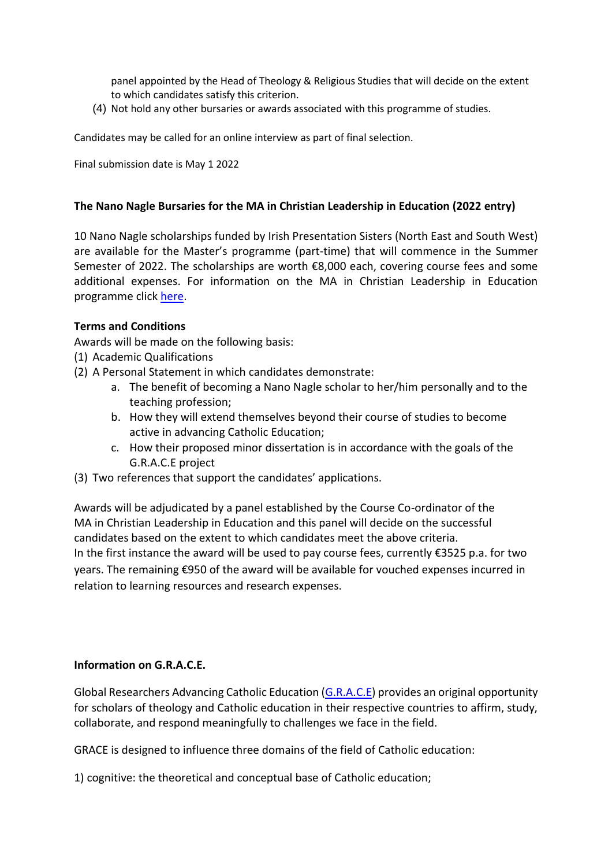panel appointed by the Head of Theology & Religious Studies that will decide on the extent to which candidates satisfy this criterion.

(4) Not hold any other bursaries or awards associated with this programme of studies.

Candidates may be called for an online interview as part of final selection.

Final submission date is May 1 2022

#### **The Nano Nagle Bursaries for the MA in Christian Leadership in Education (2022 entry)**

10 Nano Nagle scholarships funded by Irish Presentation Sisters (North East and South West) are available for the Master's programme (part-time) that will commence in the Summer Semester of 2022. The scholarships are worth €8,000 each, covering course fees and some additional expenses. For information on the MA in Christian Leadership in Education programme click [here.](https://www.mic.ul.ie/faculty-of-arts/programme/ma-in-christian-leadership-in-education)

#### **Terms and Conditions**

Awards will be made on the following basis:

- (1) Academic Qualifications
- (2) A Personal Statement in which candidates demonstrate:
	- a. The benefit of becoming a Nano Nagle scholar to her/him personally and to the teaching profession;
	- b. How they will extend themselves beyond their course of studies to become active in advancing Catholic Education;
	- c. How their proposed minor dissertation is in accordance with the goals of the G.R.A.C.E project
- (3) Two references that support the candidates' applications.

Awards will be adjudicated by a panel established by the Course Co-ordinator of the MA in Christian Leadership in Education and this panel will decide on the successful candidates based on the extent to which candidates meet the above criteria. In the first instance the award will be used to pay course fees, currently €3525 p.a. for two years. The remaining €950 of the award will be available for vouched expenses incurred in relation to learning resources and research expenses.

#### **Information on G.R.A.C.E.**

Global Researchers Advancing Catholic Education [\(G.R.A.C.E\)](https://www.mic.ul.ie/faculty-of-arts/department/theology-religious-studies/grace?index=0) provides an original opportunity for scholars of theology and Catholic education in their respective countries to affirm, study, collaborate, and respond meaningfully to challenges we face in the field.

GRACE is designed to influence three domains of the field of Catholic education:

1) cognitive: the theoretical and conceptual base of Catholic education;